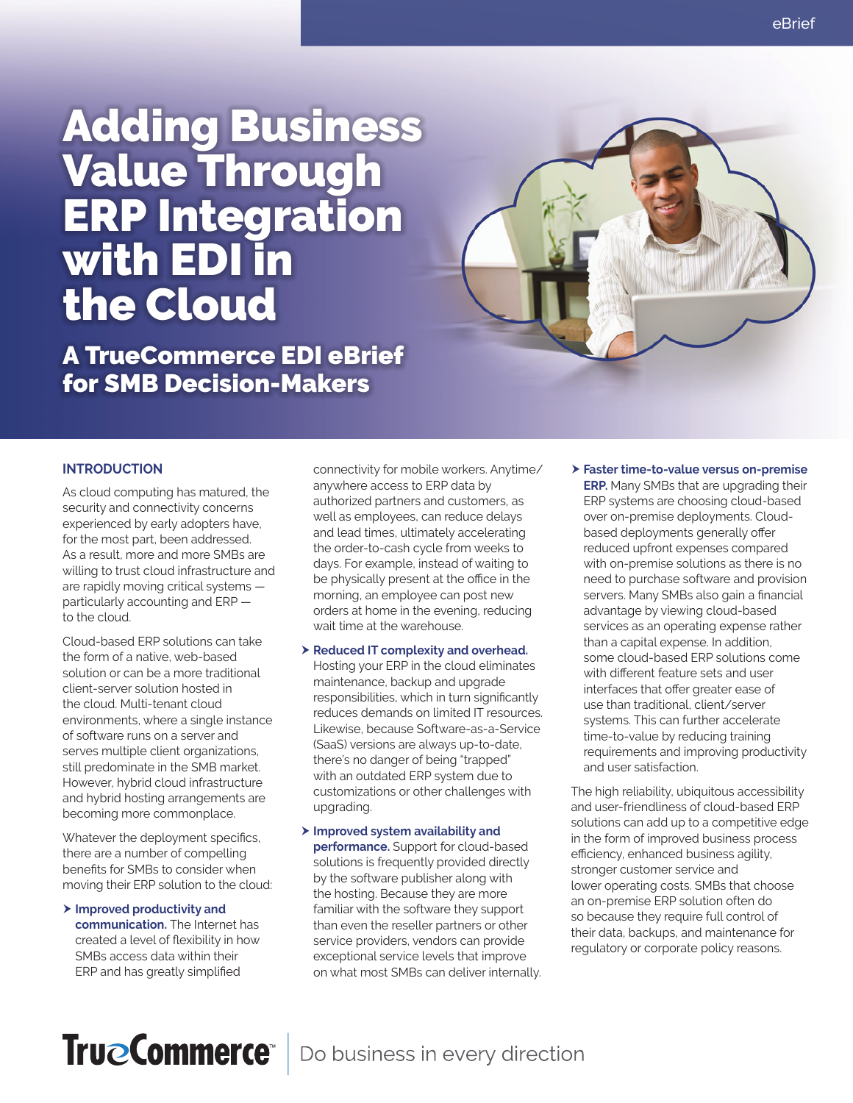# Adding Business Value Through ERP Integration with EDI in the Cloud

A TrueCommerce EDI eBrief for SMB Decision-Makers

#### **INTRODUCTION**

As cloud computing has matured, the security and connectivity concerns experienced by early adopters have, for the most part, been addressed. As a result, more and more SMBs are willing to trust cloud infrastructure and are rapidly moving critical systems particularly accounting and ERP to the cloud.

Cloud-based ERP solutions can take the form of a native, web-based solution or can be a more traditional client-server solution hosted in the cloud. Multi-tenant cloud environments, where a single instance of software runs on a server and serves multiple client organizations, still predominate in the SMB market. However, hybrid cloud infrastructure and hybrid hosting arrangements are becoming more commonplace.

Whatever the deployment specifics, there are a number of compelling benefits for SMBs to consider when moving their ERP solution to the cloud:

> Improved productivity and **communication.** The Internet has created a level of flexibility in how SMBs access data within their ERP and has greatly simplified

connectivity for mobile workers. Anytime/ anywhere access to ERP data by authorized partners and customers, as well as employees, can reduce delays and lead times, ultimately accelerating the order-to-cash cycle from weeks to days. For example, instead of waiting to be physically present at the office in the morning, an employee can post new orders at home in the evening, reducing wait time at the warehouse.

- $\triangleright$  **Reduced IT complexity and overhead.** Hosting your ERP in the cloud eliminates maintenance, backup and upgrade responsibilities, which in turn significantly reduces demands on limited IT resources. Likewise, because Software-as-a-Service (SaaS) versions are always up-to-date, there's no danger of being "trapped" with an outdated ERP system due to customizations or other challenges with upgrading.
- $\triangleright$  **Improved system availability and performance.** Support for cloud-based solutions is frequently provided directly by the software publisher along with the hosting. Because they are more familiar with the software they support than even the reseller partners or other service providers, vendors can provide exceptional service levels that improve on what most SMBs can deliver internally.
- h **Faster time-to-value versus on-premise ERP.** Many SMBs that are upgrading their ERP systems are choosing cloud-based over on-premise deployments. Cloudbased deployments generally offer reduced upfront expenses compared with on-premise solutions as there is no need to purchase software and provision servers. Many SMBs also gain a financial advantage by viewing cloud-based services as an operating expense rather than a capital expense. In addition, some cloud-based ERP solutions come with different feature sets and user interfaces that offer greater ease of use than traditional, client/server systems. This can further accelerate time-to-value by reducing training requirements and improving productivity and user satisfaction.

The high reliability, ubiquitous accessibility and user-friendliness of cloud-based ERP solutions can add up to a competitive edge in the form of improved business process efficiency, enhanced business agility, stronger customer service and lower operating costs. SMBs that choose an on-premise ERP solution often do so because they require full control of their data, backups, and maintenance for regulatory or corporate policy reasons.

### TrueCommerce<sup>®</sup> Do business in every direction